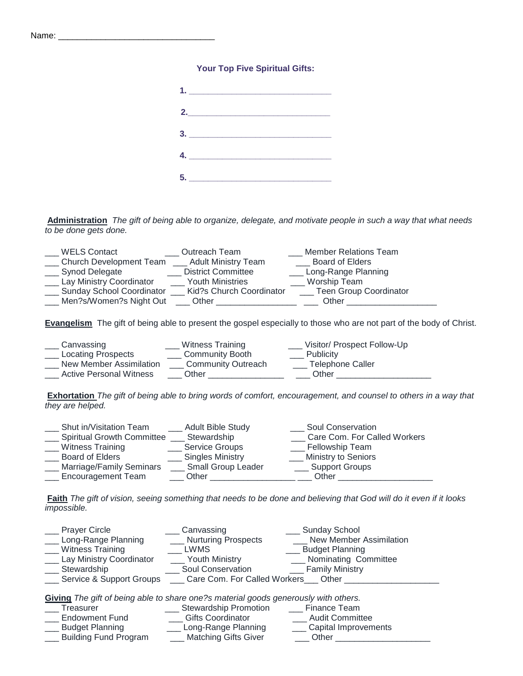## **Your Top Five Spiritual Gifts:**

| $1.$ $\overline{\phantom{a}}$ |  |  |
|-------------------------------|--|--|
|                               |  |  |
| 3.                            |  |  |
| $\overline{\mathbf{4.}}$      |  |  |
|                               |  |  |

**Administration** *The gift of being able to organize, delegate, and motivate people in such a way that what needs to be done gets done.*

| <b>WELS Contact</b>              | <b>Outreach Team</b>      | <b>Member Relations Team</b>  |
|----------------------------------|---------------------------|-------------------------------|
| Church Development Team          | _ Adult Ministry Team     | <b>Board of Elders</b>        |
| Synod Delegate                   | <b>District Committee</b> | __ Long-Range Planning        |
| Lay Ministry Coordinator         | <b>Youth Ministries</b>   | Worship Team                  |
| <b>Sunday School Coordinator</b> | Kid?s Church Coordinator  | <b>Teen Group Coordinator</b> |
| Men?s/Women?s Night Out          | Other                     | Other                         |

**Evangelism** The gift of being able to present the gospel especially to those who are not part of the body of Christ.

| Canvassing                     | Witness Training          | Visitor/ Prospect Follow-Up |
|--------------------------------|---------------------------|-----------------------------|
| <b>Locating Prospects</b>      | <b>Community Booth</b>    | <b>Publicity</b>            |
| New Member Assimilation        | <b>Community Outreach</b> | <b>Telephone Caller</b>     |
| <b>Active Personal Witness</b> | Other                     | Other                       |

**Exhortation** *The gift of being able to bring words of comfort, encouragement, and counsel to others in a way that they are helped.*

| Shut in/Visitation Team           | <b>Adult Bible Study</b>  | Soul Conservation            |
|-----------------------------------|---------------------------|------------------------------|
| <b>Spiritual Growth Committee</b> | Stewardship               | Care Com. For Called Workers |
| Witness Training                  | <b>Service Groups</b>     | <b>Fellowship Team</b>       |
| <b>Board of Elders</b>            | <b>Singles Ministry</b>   | <b>Ministry to Seniors</b>   |
| Marriage/Family Seminars          | <b>Small Group Leader</b> | <b>Support Groups</b>        |
| <b>Encouragement Team</b>         | Other                     | Other                        |
|                                   |                           |                              |

**Faith** *The gift of vision, seeing something that needs to be done and believing that God will do it even if it looks impossible.*

| <b>Prayer Circle</b>                                                                | Canvassing                           | Sunday School                    |  |  |
|-------------------------------------------------------------------------------------|--------------------------------------|----------------------------------|--|--|
| __ Long-Range Planning                                                              | <b>Nurturing Prospects</b>           | <b>New Member Assimilation</b>   |  |  |
| <b>Witness Training</b>                                                             | <b>LWMS</b>                          | <b>Budget Planning</b>           |  |  |
| <b>Lay Ministry Coordinator</b>                                                     | Youth Ministry                       | ___ Nominating Committee         |  |  |
| Stewardship                                                                         | Soul Conservation                    | <b>Example 1</b> Family Ministry |  |  |
| Service & Support Groups                                                            | Care Com. For Called Workers   Other |                                  |  |  |
| Giving The gift of being able to share one?s material goods generously with others. |                                      |                                  |  |  |
| Treasurer                                                                           | __ Stewardship Promotion             | <b>Finance Team</b>              |  |  |
| <b>Endowment Fund</b>                                                               | <b>Gifts Coordinator</b>             | ___ Audit Committee              |  |  |
| <b>Budget Planning</b>                                                              | ___ Long-Range Planning              | ___ Capital Improvements         |  |  |
| <b>Building Fund Program</b>                                                        | ___ Matching Gifts Giver             | Other                            |  |  |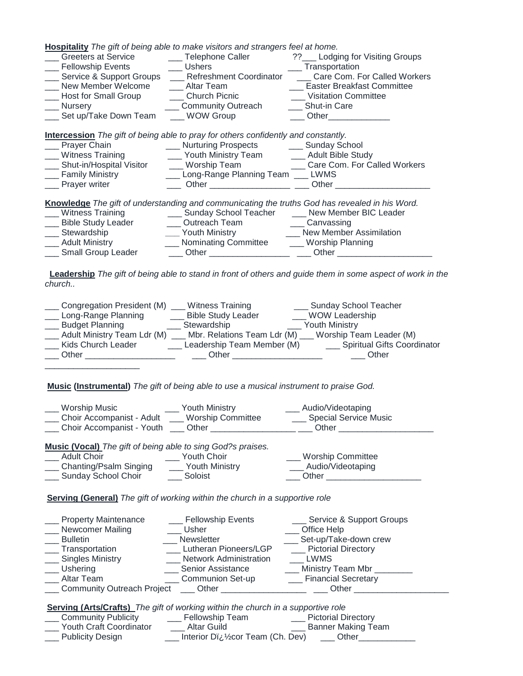**Hospitality** *The gift of being able to make visitors and strangers feel at home.*

| <b>Greeters at Service</b>                                                                | _Telephone Caller              | ?? Lodging for Visiting Groups |  |
|-------------------------------------------------------------------------------------------|--------------------------------|--------------------------------|--|
| Fellowship Events                                                                         | <b>Ushers</b>                  | Transportation                 |  |
| Service & Support Groups                                                                  | <b>Refreshment Coordinator</b> | Care Com. For Called Workers   |  |
| New Member Welcome                                                                        | Altar Team                     | _ Easter Breakfast Committee   |  |
| ___ Host for Small Group                                                                  | <b>Church Picnic</b>           | _ Visitation Committee         |  |
| Nursery                                                                                   | __ Community Outreach          | Shut-in Care                   |  |
| Set up/Take Down Team                                                                     | <b>WOW Group</b>               | Other                          |  |
|                                                                                           |                                |                                |  |
| <b>Intercession</b> The gift of being able to pray for others confidently and constantly. |                                |                                |  |

| __ Prayer Chain              | __ Nurturing Prospects                | <b>Sunday School</b>                                                                           |
|------------------------------|---------------------------------------|------------------------------------------------------------------------------------------------|
| __ Witness Training          | ___ Youth Ministry Team               | ___ Adult Bible Study                                                                          |
| ___ Shut-in/Hospital Visitor | __ Worship Team                       | Care Com. For Called Workers                                                                   |
| __ Family Ministry           | ___ Long-Range Planning Team ___ LWMS |                                                                                                |
| __ Prayer writer             | Other ____________________            | Other                                                                                          |
|                              |                                       |                                                                                                |
|                              |                                       | Knowledge The gift of understanding and communicating the truths God has revealed in his Word. |
| ___ Witness Training         | __ Sunday School Teacher              | ___ New Member BIC Leader                                                                      |

| <b>VILLICOO LIGILIIIY</b> | <b>POINT TOOI I CAUTO</b> | <b>INGWIRD OIL DIO LUGUOI</b> |  |
|---------------------------|---------------------------|-------------------------------|--|
| <b>Bible Study Leader</b> | Outreach Team             | Canvassing                    |  |
| Stewardship               | Youth Ministry            | New Member Assimilation       |  |
| <b>Adult Ministry</b>     | Nominating Committee      | Worship Planning              |  |
| <b>Small Group Leader</b> | Other                     | Other                         |  |

 **Leadership** *The gift of being able to stand in front of others and guide them in some aspect of work in the church..*

| Congregation President (M)  | Witness Training           | __ Sunday School Teacher                            |
|-----------------------------|----------------------------|-----------------------------------------------------|
| Long-Range Planning         | <b>Bible Study Leader</b>  | WOW Leadership                                      |
| <b>Budget Planning</b>      | Stewardship                | Youth Ministry                                      |
| Adult Ministry Team Ldr (M) |                            | Mbr. Relations Team Ldr (M) Worship Team Leader (M) |
| Kids Church Leader          | Leadership Team Member (M) | __ Spiritual Gifts Coordinator                      |
| Other                       | Other                      | Other                                               |
|                             |                            |                                                     |

**Music (Instrumental)** *The gift of being able to use a musical instrument to praise God.*

| Worship Music             | Youth Ministry    | Audio/Videotaping     |
|---------------------------|-------------------|-----------------------|
| Choir Accompanist - Adult | Worship Committee | Special Service Music |
| Choir Accompanist - Youth | Other             | Other                 |

**Music (Vocal)** *The gift of being able to sing God?s praises.*

| Adult Choir            | Youth Choir    | <b>Worship Committee</b> |
|------------------------|----------------|--------------------------|
| Chanting/Psalm Singing | Youth Ministry | Audio/Videotaping        |
| Sunday School Choir    | Soloist        | Other                    |
|                        |                |                          |

**Serving (General)** *The gift of working within the church in a supportive role*

| <b>Property Maintenance</b><br>Newcomer Mailing | <b>Fellowship Events</b><br>Usher | Service & Support Groups<br><b>Office Help</b> |
|-------------------------------------------------|-----------------------------------|------------------------------------------------|
| <b>Bulletin</b>                                 | Newsletter                        | Set-up/Take-down crew                          |
| _ Transportation                                | Lutheran Pioneers/LGP             | <b>Pictorial Directory</b>                     |
| <b>Singles Ministry</b>                         | <b>Network Administration</b>     | LWMS                                           |
| Ushering                                        | <b>Senior Assistance</b>          | Ministry Team Mbr                              |
| Altar Team                                      | <b>Communion Set-up</b>           | <b>Financial Secretary</b>                     |
| Community Outreach Project                      | Other                             | Other                                          |

**Serving (Arts/Crafts)** *The gift of working within the church in a supportive role*

| <b>Community Publicity</b> | Fellowship Team                     | <b>Pictorial Directory</b> |
|----------------------------|-------------------------------------|----------------------------|
| Youth Craft Coordinator    | Altar Guild                         | Banner Making Team         |
| <b>Publicity Design</b>    | Interior Diz 1/2 cor Team (Ch. Dev) | Other                      |